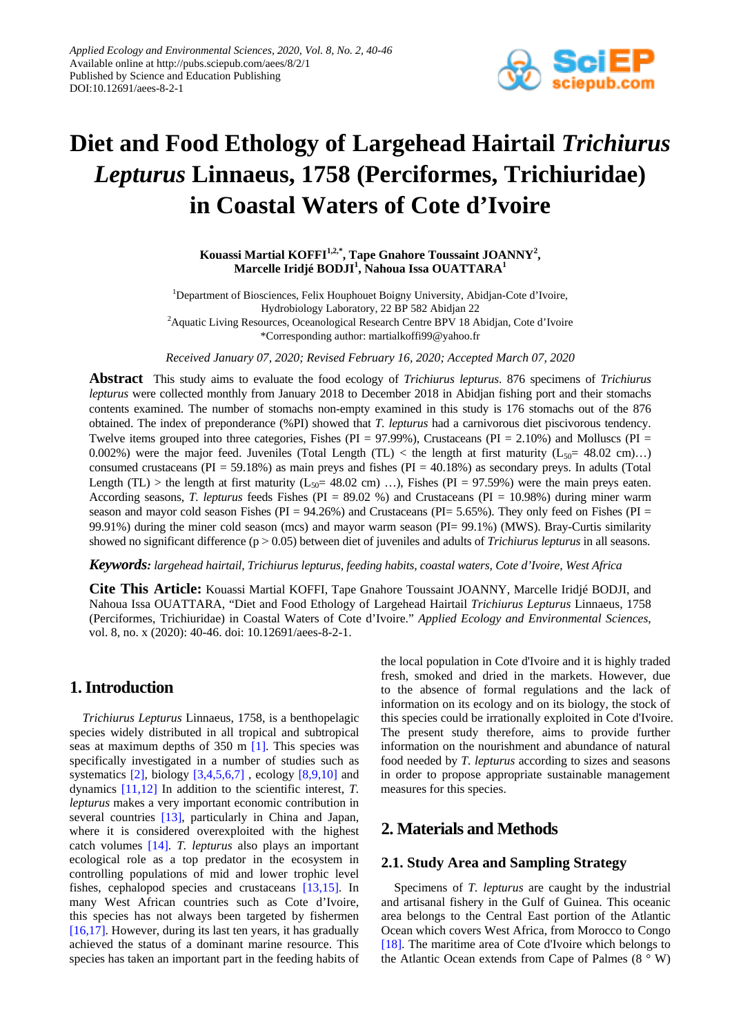

# **Diet and Food Ethology of Largehead Hairtail** *Trichiurus Lepturus* **Linnaeus, 1758 (Perciformes, Trichiuridae) in Coastal Waters of Cote d'Ivoire**

**Kouassi Martial KOFFI1,2,\* , Tape Gnahore Toussaint JOANNY<sup>2</sup> , Marcelle Iridjé BODJI1 , Nahoua Issa OUATTARA<sup>1</sup>**

<sup>1</sup>Department of Biosciences, Felix Houphouet Boigny University, Abidjan-Cote d'Ivoire, Hydrobiology Laboratory, 22 BP 582 Abidjan 22 <sup>2</sup> Aquatic Living Resources, Oceanological Research Centre BPV 18 Abidjan, Cote d'Ivoire \*Corresponding author: martialkoffi99@yahoo.fr

*Received [January](javascript:;) 07, 2020; Revised February 16, 2020; Accepted March 07, 2020*

**Abstract** This study aims to evaluate the food ecology of *Trichiurus lepturus*. 876 specimens of *Trichiurus lepturus* were collected monthly from January 2018 to December 2018 in Abidjan fishing port and their stomachs contents examined. The number of stomachs non-empty examined in this study is 176 stomachs out of the 876 obtained. The index of preponderance (%PI) showed that *T. lepturus* had a carnivorous diet piscivorous tendency. Twelve items grouped into three categories, Fishes (PI =  $97.99\%$ ), Crustaceans (PI =  $2.10\%$ ) and Molluscs (PI = 0.002%) were the major feed. Juveniles (Total Length (TL) < the length at first maturity (L<sub>50</sub>= 48.02 cm)...) consumed crustaceans (PI =  $59.18\%$ ) as main preys and fishes (PI = 40.18%) as secondary preys. In adults (Total Length (TL) > the length at first maturity ( $L_{50}$ = 48.02 cm) ...), Fishes (PI = 97.59%) were the main preys eaten. According seasons, *T. lepturus* feeds Fishes (PI = 89.02 %) and Crustaceans (PI = 10.98%) during miner warm season and mayor cold season Fishes ( $PI = 94.26\%$ ) and Crustaceans ( $PI = 5.65\%$ ). They only feed on Fishes ( $PI = 5.65\%$ ) 99.91%) during the miner cold season (mcs) and mayor warm season (PI= 99.1%) (MWS). Bray-Curtis similarity showed no significant difference ( $p > 0.05$ ) between diet of juveniles and adults of *Trichiurus lepturus* in all seasons.

*Keywords: largehead hairtail, Trichiurus lepturus, feeding habits, coastal waters, Cote d'Ivoire, West Africa*

**Cite This Article:** Kouassi Martial KOFFI, Tape Gnahore Toussaint JOANNY, Marcelle Iridjé BODJI, and Nahoua Issa OUATTARA, "Diet and Food Ethology of Largehead Hairtail *Trichiurus Lepturus* Linnaeus, 1758 (Perciformes, Trichiuridae) in Coastal Waters of Cote d'Ivoire." *Applied Ecology and Environmental Sciences*, vol. 8, no. x (2020): 40-46. doi: 10.12691/aees-8-2-1.

## **1.Introduction**

*Trichiurus Lepturus* Linnaeus, 1758, is a benthopelagic species widely distributed in all tropical and subtropical seas at maximum depths of 350 m [\[1\].](#page-5-0) This species was specifically investigated in a number of studies such as systematics  $[2]$ , biology  $[3,4,5,6,7]$ , ecology  $[8,9,10]$  and dynamics [\[11,12\]](#page-6-0) In addition to the scientific interest, *T. lepturus* makes a very important economic contribution in several countries [\[13\],](#page-6-1) particularly in China and Japan, where it is considered overexploited with the highest catch volumes [\[14\].](#page-6-2) *T. lepturus* also plays an important ecological role as a top predator in the ecosystem in controlling populations of mid and lower trophic level fishes, cephalopod species and crustaceans [\[13,15\].](#page-6-1) In many West African countries such as Cote d'Ivoire, this species has not always been targeted by fishermen [\[16,17\].](#page-6-3) However, during its last ten years, it has gradually achieved the status of a dominant marine resource. This species has taken an important part in the feeding habits of the local population in Cote d'Ivoire and it is highly traded fresh, smoked and dried in the markets. However, due to the absence of formal regulations and the lack of information on its ecology and on its biology, the stock of this species could be irrationally exploited in Cote d'Ivoire. The present study therefore, aims to provide further information on the nourishment and abundance of natural food needed by *T. lepturus* according to sizes and seasons in order to propose appropriate sustainable management measures for this species.

# **2. Materials and Methods**

## **2.1. Study Area and Sampling Strategy**

Specimens of *T. lepturus* are caught by the industrial and artisanal fishery in the Gulf of Guinea. This oceanic area belongs to the Central East portion of the Atlantic Ocean which covers West Africa, from Morocco to Congo [\[18\].](#page-6-4) The maritime area of Cote d'Ivoire which belongs to the Atlantic Ocean extends from Cape of Palmes  $(8 \circ W)$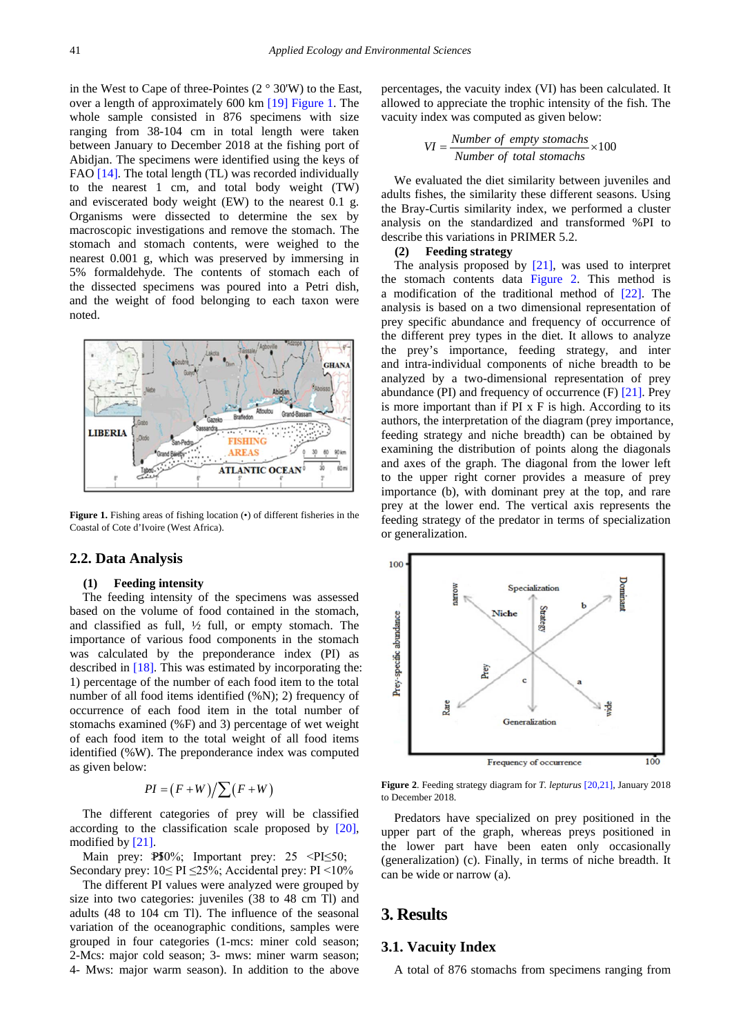in the West to Cape of three-Pointes  $(2°30'W)$  to the East, over a length of approximately 600 km [\[19\]](#page-6-5) [Figure 1.](#page-1-0) The whole sample consisted in 876 specimens with size ranging from 38-104 cm in total length were taken between January to December 2018 at the fishing port of Abidjan. The specimens were identified using the keys of FAO [\[14\].](#page-6-2) The total length (TL) was recorded individually to the nearest 1 cm, and total body weight (TW) and eviscerated body weight (EW) to the nearest 0.1 g. Organisms were dissected to determine the sex by macroscopic investigations and remove the stomach. The stomach and stomach contents, were weighed to the nearest 0.001 g, which was preserved by immersing in 5% formaldehyde. The contents of stomach each of the dissected specimens was poured into a Petri dish, and the weight of food belonging to each taxon were noted.

<span id="page-1-0"></span>

**Figure 1.** Fishing areas of fishing location (•) of different fisheries in the Coastal of Cote d'Ivoire (West Africa).

#### **2.2. Data Analysis**

#### **(1) Feeding intensity**

The feeding intensity of the specimens was assessed based on the volume of food contained in the stomach, and classified as full, ½ full, or empty stomach. The importance of various food components in the stomach was calculated by the preponderance index (PI) as described in [\[18\].](#page-6-4) This was estimated by incorporating the: 1) percentage of the number of each food item to the total number of all food items identified (%N); 2) frequency of occurrence of each food item in the total number of stomachs examined (%F) and 3) percentage of wet weight of each food item to the total weight of all food items identified (%W). The preponderance index was computed as given below:

<span id="page-1-1"></span>
$$
PI = (F+W)/\sum (F+W)
$$

The different categories of prey will be classified according to the classification scale proposed by [\[20\],](#page-6-6) modified by [\[21\].](#page-6-7)

Main prey: P $$0\%$ ; Important prey: 25 <PI $\leq$ 50; Secondary prey: 10≤ PI ≤25%; Accidental prey: PI ˂10%

The different PI values were analyzed were grouped by size into two categories: juveniles (38 to 48 cm Tl) and adults (48 to 104 cm Tl). The influence of the seasonal variation of the oceanographic conditions, samples were grouped in four categories (1-mcs: miner cold season; 2-Mcs: major cold season; 3- mws: miner warm season; 4- Mws: major warm season). In addition to the above

percentages, the vacuity index (VI) has been calculated. It allowed to appreciate the trophic intensity of the fish. The vacuity index was computed as given below:

<span id="page-1-2"></span>
$$
VI = \frac{Number\ of\ empty\ stomachs}{Number\ of\ total\ stomachs} \times 100
$$

We evaluated the diet similarity between juveniles and adults fishes, the similarity these different seasons. Using the Bray-Curtis similarity index, we performed a cluster analysis on the standardized and transformed %PI to describe this variations in PRIMER 5.2.

#### **(2) Feeding strategy**

The analysis proposed by [\[21\],](#page-6-7) was used to interpret the stomach contents data [Figure 2.](#page-1-1) This method is a modification of the traditional method of [\[22\].](#page-6-8) The analysis is based on a two dimensional representation of prey specific abundance and frequency of occurrence of the different prey types in the diet. It allows to analyze the prey's importance, feeding strategy, and inter and intra-individual components of niche breadth to be analyzed by a two-dimensional representation of prey abundance (PI) and frequency of occurrence (F) [\[21\].](#page-6-7) Prey is more important than if  $PI \times F$  is high. According to its authors, the interpretation of the diagram (prey importance, feeding strategy and niche breadth) can be obtained by examining the distribution of points along the diagonals and axes of the graph. The diagonal from the lower left to the upper right corner provides a measure of prey importance (b), with dominant prey at the top, and rare prey at the lower end. The vertical axis represents the feeding strategy of the predator in terms of specialization or generalization.

<span id="page-1-3"></span>

**Figure 2**. Feeding strategy diagram for *T. lepturus* [\[20,21\],](#page-6-6) January 2018 to December 2018.

Predators have specialized on prey positioned in the upper part of the graph, whereas preys positioned in the lower part have been eaten only occasionally (generalization) (c). Finally, in terms of niche breadth. It can be wide or narrow (a).

## **3. Results**

## **3.1. Vacuity Index**

A total of 876 stomachs from specimens ranging from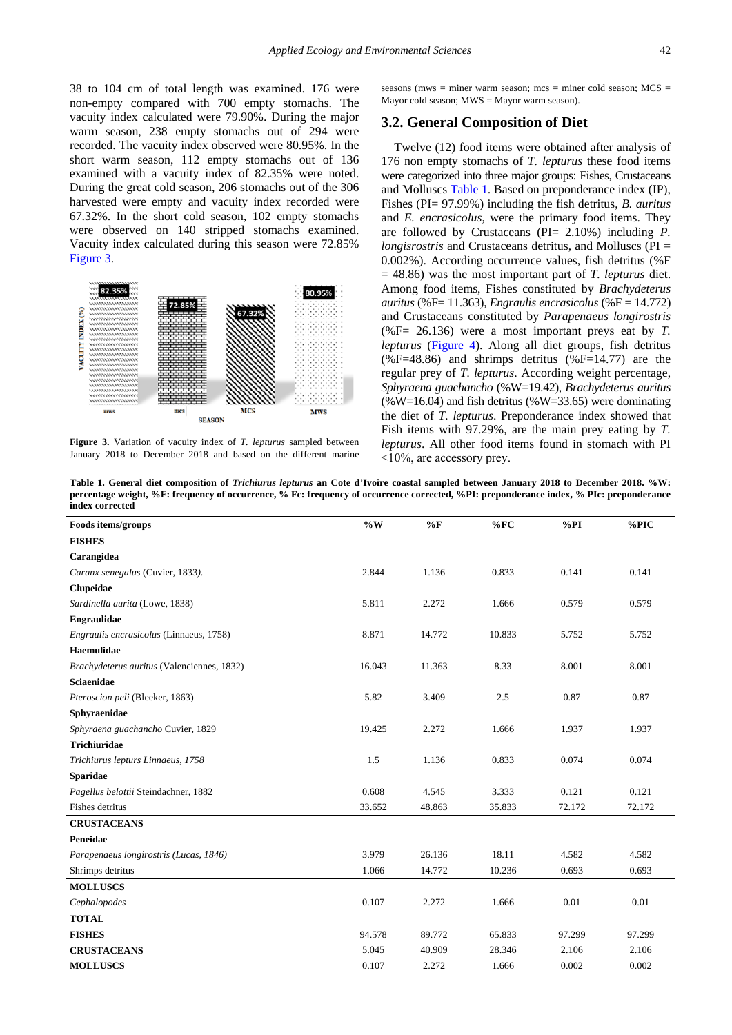38 to 104 cm of total length was examined. 176 were non-empty compared with 700 empty stomachs. The vacuity index calculated were 79.90%. During the major warm season, 238 empty stomachs out of 294 were recorded. The vacuity index observed were 80.95%. In the short warm season, 112 empty stomachs out of 136 examined with a vacuity index of 82.35% were noted. During the great cold season, 206 stomachs out of the 306 harvested were empty and vacuity index recorded were 67.32%. In the short cold season, 102 empty stomachs were observed on 140 stripped stomachs examined. Vacuity index calculated during this season were 72.85% [Figure 3.](#page-1-2)

<span id="page-2-1"></span>

**Figure 3.** Variation of vacuity index of *T. lepturus* sampled between January 2018 to December 2018 and based on the different marine

seasons (mws = miner warm season; mcs = miner cold season;  $MCS$  = Mayor cold season;  $MWS =$  Mayor warm season).

#### **3.2. General Composition of Diet**

Twelve (12) food items were obtained after analysis of 176 non empty stomachs of *T. lepturus* these food items were categorized into three major groups: Fishes, Crustaceans and Molluscs [Table 1.](#page-2-0) Based on preponderance index (IP), Fishes (PI= 97.99%) including the fish detritus, *B. auritus* and *E. encrasicolus*, were the primary food items. They are followed by Crustaceans (PI= 2.10%) including *P. longisrostris* and Crustaceans detritus, and Molluscs (PI = 0.002%). According occurrence values, fish detritus (%F = 48.86) was the most important part of *T. lepturus* diet. Among food items, Fishes constituted by *Brachydeterus auritus* (%F= 11.363), *Engraulis encrasicolus* (%F = 14.772) and Crustaceans constituted by *Parapenaeus longirostris*  $(\%F = 26.136)$  were a most important prevs eat by *T*. *lepturus* [\(Figure 4\)](#page-1-3). Along all diet groups, fish detritus  $(\%F=48.86)$  and shrimps detritus  $(\%F=14.77)$  are the regular prey of *T. lepturus*. According weight percentage, *Sphyraena guachancho* (%W=19.42), *Brachydeterus auritus* (%W=16.04) and fish detritus (%W=33.65) were dominating the diet of *T. lepturus*. Preponderance index showed that Fish items with 97.29%, are the main prey eating by *T. lepturus*. All other food items found in stomach with PI  $\leq 10\%$ , are accessory prey.

**Table 1. General diet composition of** *Trichiurus lepturus* **an Cote d'Ivoire coastal sampled between January 2018 to December 2018. %W: percentage weight, %F: frequency of occurrence, % Fc: frequency of occurrence corrected, %PI: preponderance index, % PIc: preponderance index corrected**

<span id="page-2-0"></span>

| Foods items/groups                         | $\%W$  | $\%$ F | %FC    | %PI    | $%$ PIC |
|--------------------------------------------|--------|--------|--------|--------|---------|
| <b>FISHES</b>                              |        |        |        |        |         |
| Carangidea                                 |        |        |        |        |         |
| Caranx senegalus (Cuvier, 1833).           | 2.844  | 1.136  | 0.833  | 0.141  | 0.141   |
| Clupeidae                                  |        |        |        |        |         |
| Sardinella aurita (Lowe, 1838)             | 5.811  | 2.272  | 1.666  | 0.579  | 0.579   |
| Engraulidae                                |        |        |        |        |         |
| Engraulis encrasicolus (Linnaeus, 1758)    | 8.871  | 14.772 | 10.833 | 5.752  | 5.752   |
| Haemulidae                                 |        |        |        |        |         |
| Brachydeterus auritus (Valenciennes, 1832) | 16.043 | 11.363 | 8.33   | 8.001  | 8.001   |
| <b>Sciaenidae</b>                          |        |        |        |        |         |
| Pteroscion peli (Bleeker, 1863)            | 5.82   | 3.409  | 2.5    | 0.87   | 0.87    |
| Sphyraenidae                               |        |        |        |        |         |
| Sphyraena guachancho Cuvier, 1829          | 19.425 | 2.272  | 1.666  | 1.937  | 1.937   |
| <b>Trichiuridae</b>                        |        |        |        |        |         |
| Trichiurus lepturs Linnaeus, 1758          | 1.5    | 1.136  | 0.833  | 0.074  | 0.074   |
| <b>Sparidae</b>                            |        |        |        |        |         |
| Pagellus belottii Steindachner, 1882       | 0.608  | 4.545  | 3.333  | 0.121  | 0.121   |
| <b>Fishes detritus</b>                     | 33.652 | 48.863 | 35.833 | 72.172 | 72.172  |
| <b>CRUSTACEANS</b>                         |        |        |        |        |         |
| Peneidae                                   |        |        |        |        |         |
| Parapenaeus longirostris (Lucas, 1846)     | 3.979  | 26.136 | 18.11  | 4.582  | 4.582   |
| Shrimps detritus                           | 1.066  | 14.772 | 10.236 | 0.693  | 0.693   |
| <b>MOLLUSCS</b>                            |        |        |        |        |         |
| Cephalopodes                               | 0.107  | 2.272  | 1.666  | 0.01   | 0.01    |
| <b>TOTAL</b>                               |        |        |        |        |         |
| <b>FISHES</b>                              | 94.578 | 89.772 | 65.833 | 97.299 | 97.299  |
| <b>CRUSTACEANS</b>                         | 5.045  | 40.909 | 28.346 | 2.106  | 2.106   |
| <b>MOLLUSCS</b>                            | 0.107  | 2.272  | 1.666  | 0.002  | 0.002   |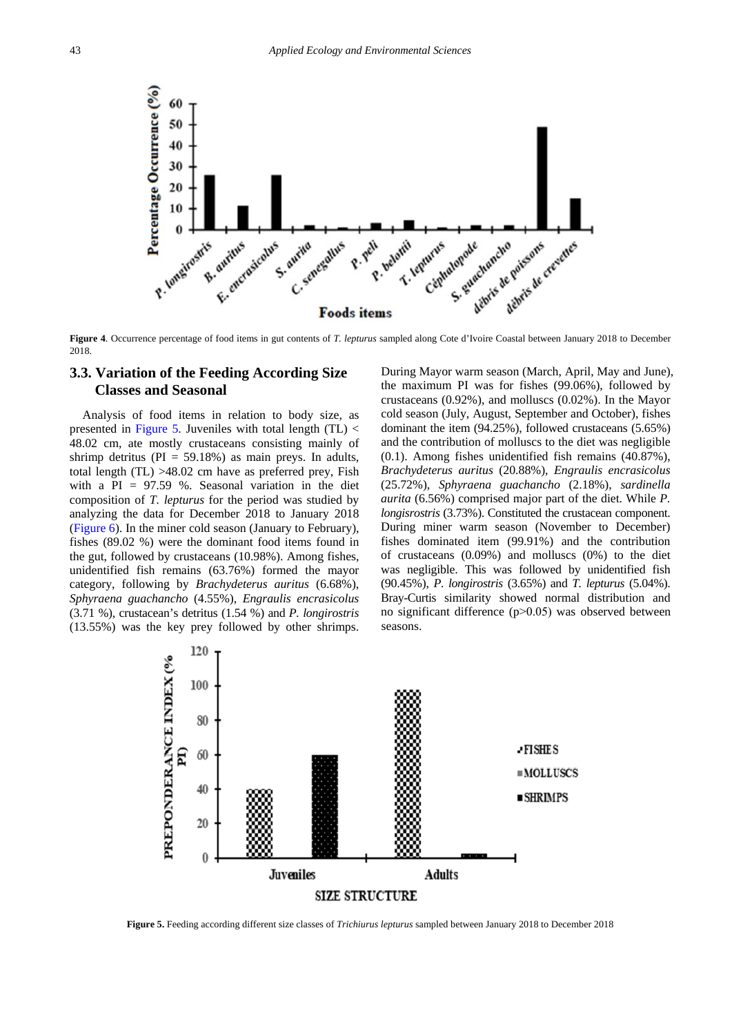<span id="page-3-0"></span>

**Figure 4**. Occurrence percentage of food items in gut contents of *T. lepturus* sampled along Cote d'Ivoire Coastal between January 2018 to December 2018.

# **3.3. Variation of the Feeding According Size Classes and Seasonal**

Analysis of food items in relation to body size, as presented in [Figure 5.](#page-2-1) Juveniles with total length (TL)  $<$ 48.02 cm, ate mostly crustaceans consisting mainly of shrimp detritus (PI =  $59.18\%$ ) as main preys. In adults, total length (TL) >48.02 cm have as preferred prey, Fish with a  $PI = 97.59$  %. Seasonal variation in the diet composition of *T. lepturus* for the period was studied by analyzing the data for December 2018 to January 2018 [\(Figure 6\)](#page-3-0). In the miner cold season (January to February), fishes (89.02 %) were the dominant food items found in the gut, followed by crustaceans (10.98%). Among fishes, unidentified fish remains (63.76%) formed the mayor category, following by *Brachydeterus auritus* (6.68%), *Sphyraena guachancho* (4.55%), *Engraulis encrasicolus* (3.71 %), crustacean's detritus (1.54 %) and *P. longirostris* (13.55%) was the key prey followed by other shrimps. During Mayor warm season (March, April, May and June), the maximum PI was for fishes (99.06%), followed by crustaceans (0.92%), and molluscs (0.02%). In the Mayor cold season (July, August, September and October), fishes dominant the item (94.25%), followed crustaceans (5.65%) and the contribution of molluscs to the diet was negligible (0.1). Among fishes unidentified fish remains (40.87%), *Brachydeterus auritus* (20.88%), *Engraulis encrasicolus* (25.72%), *Sphyraena guachancho* (2.18%), *sardinella aurita* (6.56%) comprised major part of the diet. While *P. longisrostris* (3.73%). Constituted the crustacean component. During miner warm season (November to December) fishes dominated item (99.91%) and the contribution of crustaceans (0.09%) and molluscs (0%) to the diet was negligible. This was followed by unidentified fish (90.45%), *P. longirostris* (3.65%) and *T. lepturus* (5.04%). Bray-Curtis similarity showed normal distribution and no significant difference  $(p>0.05)$  was observed between seasons.

<span id="page-3-1"></span>

**Figure 5.** Feeding according different size classes of *Trichiurus lepturus* sampled between January 2018 to December 2018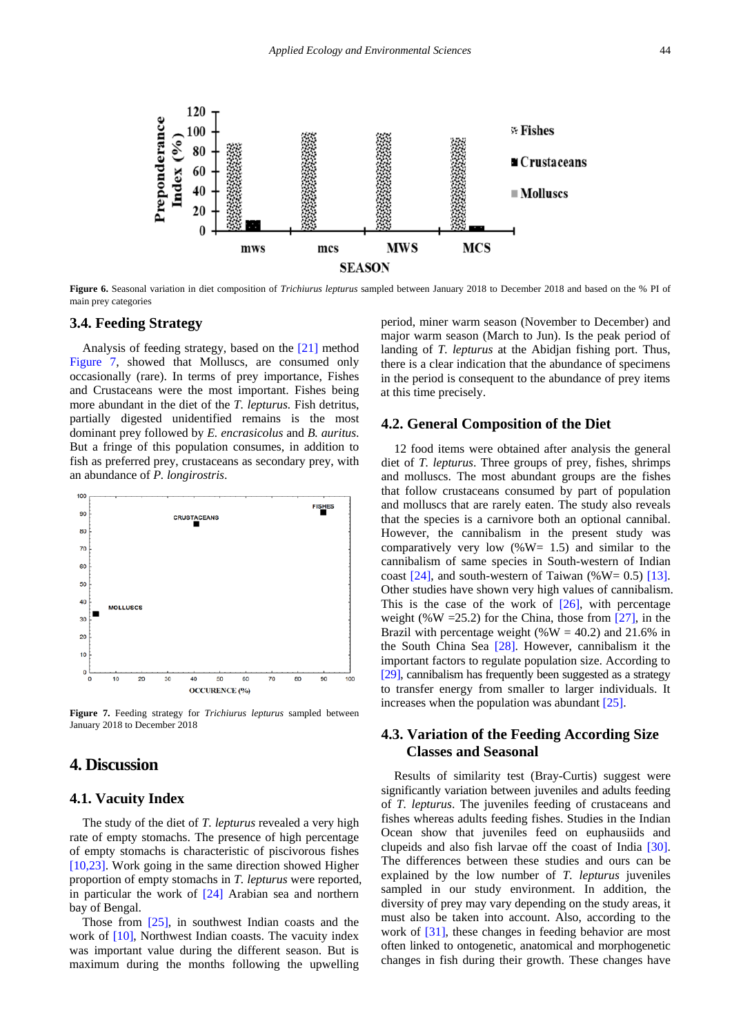

**Figure 6.** Seasonal variation in diet composition of *Trichiurus lepturus* sampled between January 2018 to December 2018 and based on the % PI of main prey categories

#### **3.4. Feeding Strategy**

Analysis of feeding strategy, based on the [\[21\]](#page-6-7) method [Figure 7,](#page-3-1) showed that Molluscs, are consumed only occasionally (rare). In terms of prey importance, Fishes and Crustaceans were the most important. Fishes being more abundant in the diet of the *T. lepturus.* Fish detritus, partially digested unidentified remains is the most dominant prey followed by *E. encrasicolus* and *B. auritus*. But a fringe of this population consumes, in addition to fish as preferred prey, crustaceans as secondary prey, with an abundance of *P. longirostris*.



**Figure 7.** Feeding strategy for *Trichiurus lepturus* sampled between January 2018 to December 2018

## **4. Discussion**

#### **4.1. Vacuity Index**

The study of the diet of *T. lepturus* revealed a very high rate of empty stomachs. The presence of high percentage of empty stomachs is characteristic of piscivorous fishes [\[10,23\].](#page-5-4) Work going in the same direction showed Higher proportion of empty stomachs in *T. lepturus* were reported, in particular the work of [\[24\]](#page-6-9) Arabian sea and northern bay of Bengal.

Those from  $[25]$ , in southwest Indian coasts and the work of [\[10\],](#page-5-4) Northwest Indian coasts. The vacuity index was important value during the different season. But is maximum during the months following the upwelling period, miner warm season (November to December) and major warm season (March to Jun). Is the peak period of landing of *T. lepturus* at the Abidjan fishing port. Thus, there is a clear indication that the abundance of specimens in the period is consequent to the abundance of prey items at this time precisely.

## **4.2. General Composition of the Diet**

12 food items were obtained after analysis the general diet of *T. lepturus*. Three groups of prey, fishes, shrimps and molluscs. The most abundant groups are the fishes that follow crustaceans consumed by part of population and molluscs that are rarely eaten. The study also reveals that the species is a carnivore both an optional cannibal. However, the cannibalism in the present study was comparatively very low  $(\%W= 1.5)$  and similar to the cannibalism of same species in South-western of Indian coast  $[24]$ , and south-western of Taiwan (%W= 0.5)  $[13]$ . Other studies have shown very high values of cannibalism. This is the case of the work of  $[26]$ , with percentage weight (%W =25.2) for the China, those from [\[27\],](#page-6-12) in the Brazil with percentage weight (% $W = 40.2$ ) and 21.6% in the South China Sea [\[28\].](#page-6-13) However, cannibalism it the important factors to regulate population size. According to [\[29\],](#page-6-14) cannibalism has frequently been suggested as a strategy to transfer energy from smaller to larger individuals. It increases when the population was abundant  $[25]$ .

# **4.3. Variation of the Feeding According Size Classes and Seasonal**

Results of similarity test (Bray-Curtis) suggest were significantly variation between juveniles and adults feeding of *T. lepturus*. The juveniles feeding of crustaceans and fishes whereas adults feeding fishes. Studies in the Indian Ocean show that juveniles feed on euphausiids and clupeids and also fish larvae off the coast of India [\[30\].](#page-6-15) The differences between these studies and ours can be explained by the low number of *T. lepturus* juveniles sampled in our study environment. In addition, the diversity of prey may vary depending on the study areas, it must also be taken into account. Also, according to the work of [\[31\],](#page-6-16) these changes in feeding behavior are most often linked to ontogenetic, anatomical and morphogenetic changes in fish during their growth. These changes have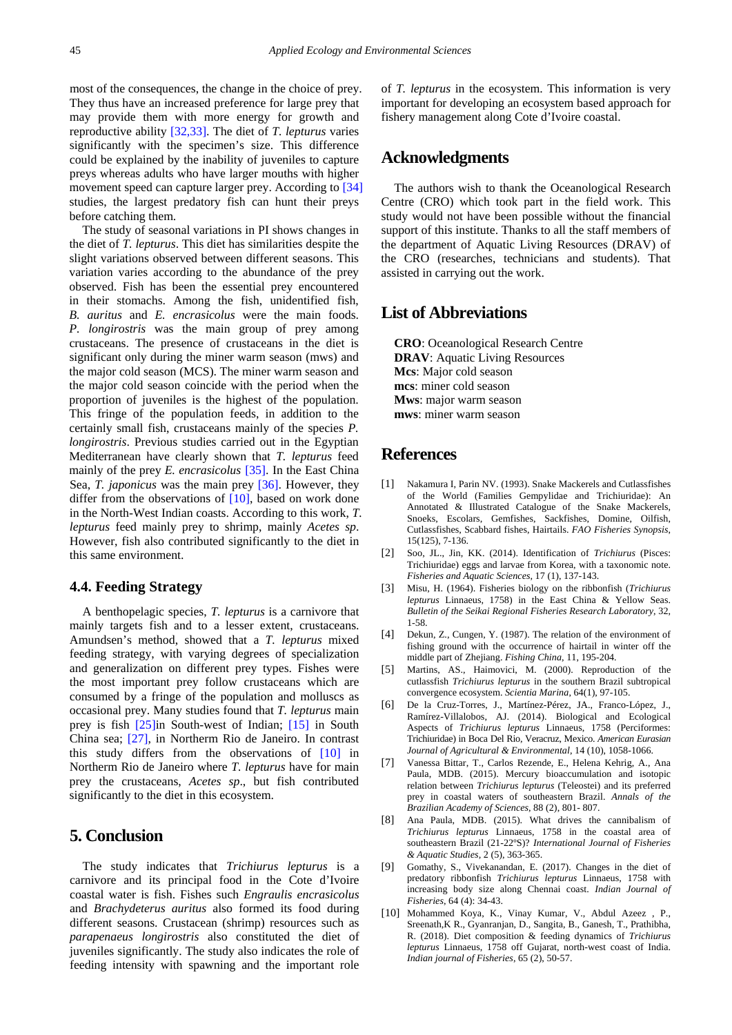most of the consequences, the change in the choice of prey. They thus have an increased preference for large prey that may provide them with more energy for growth and reproductive ability [\[32,33\].](#page-6-17) The diet of *T. lepturus* varies significantly with the specimen's size. This difference could be explained by the inability of juveniles to capture preys whereas adults who have larger mouths with higher movement speed can capture larger prey. According to [\[34\]](#page-6-18) studies, the largest predatory fish can hunt their preys before catching them.

The study of seasonal variations in PI shows changes in the diet of *T. lepturus*. This diet has similarities despite the slight variations observed between different seasons. This variation varies according to the abundance of the prey observed. Fish has been the essential prey encountered in their stomachs. Among the fish, unidentified fish, *B. auritus* and *E. encrasicolus* were the main foods. *P. longirostris* was the main group of prey among crustaceans. The presence of crustaceans in the diet is significant only during the miner warm season (mws) and the major cold season (MCS). The miner warm season and the major cold season coincide with the period when the proportion of juveniles is the highest of the population. This fringe of the population feeds, in addition to the certainly small fish, crustaceans mainly of the species *P. longirostris*. Previous studies carried out in the Egyptian Mediterranean have clearly shown that *T. lepturus* feed mainly of the prey *E. encrasicolus* [\[35\].](#page-6-19) In the East China Sea, *T. japonicus* was the main prey [\[36\].](#page-6-20) However, they differ from the observations of [\[10\],](#page-5-4) based on work done in the North-West Indian coasts. According to this work, *T. lepturus* feed mainly prey to shrimp, mainly *Acetes sp*. However, fish also contributed significantly to the diet in this same environment.

## **4.4. Feeding Strategy**

A benthopelagic species, *T. lepturus* is a carnivore that mainly targets fish and to a lesser extent, crustaceans. Amundsen's method, showed that a *T. lepturus* mixed feeding strategy, with varying degrees of specialization and generalization on different prey types. Fishes were the most important prey follow crustaceans which are consumed by a fringe of the population and molluscs as occasional prey. Many studies found that *T. lepturus* main prey is fish [\[25\]i](#page-6-10)n South-west of Indian; [\[15\]](#page-6-21) in South China sea; [\[27\],](#page-6-12) in Northerm Rio de Janeiro. In contrast this study differs from the observations of [\[10\]](#page-5-4) in Northerm Rio de Janeiro where *T. lepturus* have for main prey the crustaceans, *Acetes sp*., but fish contributed significantly to the diet in this ecosystem.

## **5. Conclusion**

The study indicates that *Trichiurus lepturus* is a carnivore and its principal food in the Cote d'Ivoire coastal water is fish. Fishes such *Engraulis encrasicolus* and *Brachydeterus auritus* also formed its food during different seasons. Crustacean (shrimp) resources such as *parapenaeus longirostris* also constituted the diet of juveniles significantly. The study also indicates the role of feeding intensity with spawning and the important role of *T. lepturus* in the ecosystem. This information is very important for developing an ecosystem based approach for fishery management along Cote d'Ivoire coastal.

## **Acknowledgments**

The authors wish to thank the Oceanological Research Centre (CRO) which took part in the field work. This study would not have been possible without the financial support of this institute. Thanks to all the staff members of the department of Aquatic Living Resources (DRAV) of the CRO (researches, technicians and students). That assisted in carrying out the work.

# **List of Abbreviations**

**CRO**: Oceanological Research Centre **DRAV**: Aquatic Living Resources **Mcs**: Major cold season **mcs**: miner cold season **Mws**: major warm season **mws**: miner warm season

# **References**

- <span id="page-5-0"></span>[1] Nakamura I, Parin NV. (1993). Snake Mackerels and Cutlassfishes of the World (Families Gempylidae and Trichiuridae): An Annotated & Illustrated Catalogue of the Snake Mackerels, Snoeks, Escolars, Gemfishes, Sackfishes, Domine, Oilfish, Cutlassfishes, Scabbard fishes, Hairtails. *FAO Fisheries Synopsis*, 15(125), 7-136.
- <span id="page-5-1"></span>[2] Soo, JL., Jin, KK. (2014). Identification of *Trichiurus* (Pisces: Trichiuridae) eggs and larvae from Korea, with a taxonomic note. *Fisheries and Aquatic Sciences,* 17 (1), 137-143.
- <span id="page-5-2"></span>[3] Misu, H. (1964). Fisheries biology on the ribbonfish (*Trichiurus lepturus* Linnaeus, 1758) in the East China & Yellow Seas. *Bulletin of the Seikai Regional Fisheries Research Laboratory*, 32, 1-58.
- [4] Dekun, Z., Cungen, Y. (1987). The relation of the environment of fishing ground with the occurrence of hairtail in winter off the middle part of Zhejiang. *Fishing China*, 11, 195-204.
- [5] Martins, AS., Haimovici, M. (2000). Reproduction of the cutlassfish *Trichiurus lepturus* in the southern Brazil subtropical convergence ecosystem. *Scientia Marina*, 64(1), 97-105.
- [6] De la Cruz-Torres, J., Martínez-Pérez, JA., Franco-López, J., Ramírez-Villalobos, AJ. (2014). Biological and Ecological Aspects of *Trichiurus lepturus* Linnaeus, 1758 (Perciformes: Trichiuridae) in Boca Del Rio, Veracruz, Mexico. *American Eurasian Journal of Agricultural & Environmental*, 14 (10), 1058-1066.
- [7] Vanessa Bittar, T., Carlos Rezende, E., Helena Kehrig, A., Ana Paula, MDB. (2015). Mercury bioaccumulation and isotopic relation between *Trichiurus lepturus* (Teleostei) and its preferred prey in coastal waters of southeastern Brazil. *Annals of the Brazilian Academy of Sciences*, 88 (2), 801- 807.
- <span id="page-5-3"></span>[8] Ana Paula, MDB. (2015). What drives the cannibalism of *Trichiurus lepturus* Linnaeus, 1758 in the coastal area of southeastern Brazil (21-22ºS)? *International Journal of Fisheries & Aquatic Studies,* 2 (5), 363-365.
- [9] Gomathy, S., Vivekanandan, E. (2017). Changes in the diet of predatory ribbonfish *Trichiurus lepturus* Linnaeus, 1758 with increasing body size along Chennai coast. *Indian Journal of Fisheries*, 64 (4): 34-43.
- <span id="page-5-4"></span>[10] Mohammed Koya, K., Vinay Kumar, V., Abdul Azeez , P., Sreenath,K R., Gyanranjan, D., Sangita, B., Ganesh, T., Prathibha, R. (2018). Diet composition & feeding dynamics of *Trichiurus lepturus* Linnaeus, 1758 off Gujarat, north-west coast of India. *Indian journal of Fisheries*, 65 (2), 50-57.